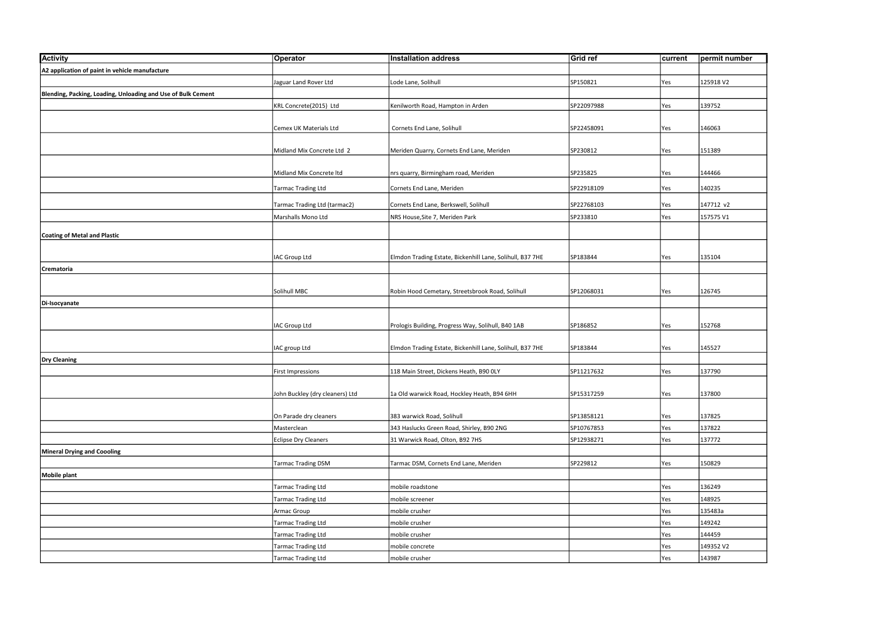| <b>Activity</b>                                              | Operator                        | Installation address                                      | Grid ref   | current    | permit number |
|--------------------------------------------------------------|---------------------------------|-----------------------------------------------------------|------------|------------|---------------|
| A2 application of paint in vehicle manufacture               |                                 |                                                           |            |            |               |
|                                                              | Jaguar Land Rover Ltd           | Lode Lane, Solihull                                       | SP150821   | Yes        | 125918 V2     |
| Blending, Packing, Loading, Unloading and Use of Bulk Cement |                                 |                                                           |            |            |               |
|                                                              | KRL Concrete(2015) Ltd          | Kenilworth Road, Hampton in Arden                         | SP22097988 | <b>Yes</b> | 139752        |
|                                                              |                                 |                                                           |            |            |               |
|                                                              | Cemex UK Materials Ltd          | Cornets End Lane, Solihull                                | SP22458091 | <b>Yes</b> | 146063        |
|                                                              |                                 |                                                           |            |            |               |
|                                                              | Midland Mix Concrete Ltd 2      | Meriden Quarry, Cornets End Lane, Meriden                 | SP230812   | Yes        | 151389        |
|                                                              |                                 |                                                           |            |            |               |
|                                                              | Midland Mix Concrete Itd        | nrs quarry, Birmingham road, Meriden                      | SP235825   | Yes        | 144466        |
|                                                              | Tarmac Trading Ltd              | Cornets End Lane, Meriden                                 | SP22918109 | Yes        | 140235        |
|                                                              |                                 |                                                           |            |            |               |
|                                                              | Tarmac Trading Ltd (tarmac2)    | Cornets End Lane, Berkswell, Solihull                     | SP22768103 | Yes        | 147712 v2     |
|                                                              | Marshalls Mono Ltd              | NRS House, Site 7, Meriden Park                           | SP233810   | Yes        | 157575 V1     |
| Coating of Metal and Plastic                                 |                                 |                                                           |            |            |               |
|                                                              |                                 |                                                           |            |            |               |
|                                                              | IAC Group Ltd                   | Elmdon Trading Estate, Bickenhill Lane, Solihull, B37 7HE | SP183844   | Yes        | 135104        |
| Crematoria                                                   |                                 |                                                           |            |            |               |
|                                                              |                                 |                                                           |            |            |               |
|                                                              | Solihull MBC                    | Robin Hood Cemetary, Streetsbrook Road, Solihull          | SP12068031 | Yes        | 126745        |
| Di-Isocyanate                                                |                                 |                                                           |            |            |               |
|                                                              |                                 |                                                           |            |            |               |
|                                                              | IAC Group Ltd                   | Prologis Building, Progress Way, Solihull, B40 1AB        | SP186852   | Yes        | 152768        |
|                                                              |                                 |                                                           |            |            |               |
|                                                              | IAC group Ltd                   | Elmdon Trading Estate, Bickenhill Lane, Solihull, B37 7HE | SP183844   | Yes        | 145527        |
| Dry Cleaning                                                 |                                 |                                                           |            |            |               |
|                                                              | <b>First Impressions</b>        | 118 Main Street, Dickens Heath, B90 OLY                   | SP11217632 | Yes        | 137790        |
|                                                              | John Buckley (dry cleaners) Ltd | 1a Old warwick Road, Hockley Heath, B94 6HH               | SP15317259 | Yes        | 137800        |
|                                                              |                                 |                                                           |            |            |               |
|                                                              | On Parade dry cleaners          | 383 warwick Road, Solihull                                | SP13858121 | Yes        | 137825        |
|                                                              | Masterclean                     | 343 Haslucks Green Road, Shirley, B90 2NG                 | SP10767853 | Yes        | 137822        |
|                                                              | Eclipse Dry Cleaners            | 31 Warwick Road, Olton, B92 7HS                           | SP12938271 | <b>Yes</b> | 137772        |
| Mineral Drying and Coooling                                  |                                 |                                                           |            |            |               |
|                                                              | Tarmac Trading DSM              | Tarmac DSM, Cornets End Lane, Meriden                     | SP229812   | Yes        | 150829        |
| Mobile plant                                                 |                                 |                                                           |            |            |               |
|                                                              | <b>Tarmac Trading Ltd</b>       | mobile roadstone                                          |            | Yes        | 136249        |
|                                                              | <b>Tarmac Trading Ltd</b>       | mobile screener                                           |            | <b>Yes</b> | 148925        |
|                                                              | Armac Group                     | mobile crusher                                            |            | <b>Yes</b> | 135483a       |
|                                                              | Tarmac Trading Ltd              | mobile crusher                                            |            | Yes        | 149242        |
|                                                              | <b>Tarmac Trading Ltd</b>       | mobile crusher                                            |            | <b>Yes</b> | 144459        |
|                                                              | <b>Tarmac Trading Ltd</b>       | mobile concrete                                           |            | Yes        | 149352 V2     |
|                                                              | Tarmac Trading Ltd              | mobile crusher                                            |            | Yes        | 143987        |
|                                                              |                                 |                                                           |            |            |               |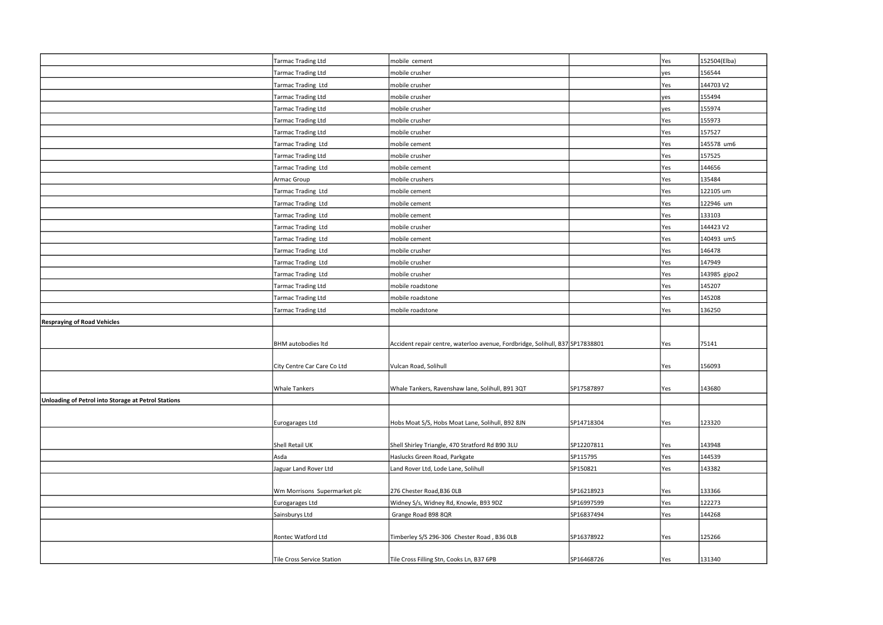|                                                     | Tarmac Trading Ltd           | mobile cement                                                                 |            | Yes        | 152504(Elba) |
|-----------------------------------------------------|------------------------------|-------------------------------------------------------------------------------|------------|------------|--------------|
|                                                     | Tarmac Trading Ltd           | mobile crusher                                                                |            | yes        | 156544       |
|                                                     | Tarmac Trading Ltd           | mobile crusher                                                                |            | Yes        | 144703 V2    |
|                                                     | Tarmac Trading Ltd           | mobile crusher                                                                |            | lyes       | 155494       |
|                                                     | Tarmac Trading Ltd           | mobile crusher                                                                |            | yes        | 155974       |
|                                                     | Tarmac Trading Ltd           | mobile crusher                                                                |            | Yes        | 155973       |
|                                                     | Tarmac Trading Ltd           | mobile crusher                                                                |            | Yes        | 157527       |
|                                                     | Tarmac Trading Ltd           | mobile cement                                                                 |            | Yes        | 145578 um6   |
|                                                     | Tarmac Trading Ltd           | mobile crusher                                                                |            | Yes        | 157525       |
|                                                     | Tarmac Trading Ltd           | mobile cement                                                                 |            | Yes        | 144656       |
|                                                     | Armac Group                  | mobile crushers                                                               |            | <b>Yes</b> | 135484       |
|                                                     | Tarmac Trading Ltd           | mobile cement                                                                 |            | Yes        | 122105 um    |
|                                                     | Tarmac Trading Ltd           | mobile cement                                                                 |            | <b>Yes</b> | 122946 um    |
|                                                     | Tarmac Trading Ltd           | mobile cement                                                                 |            | Yes        | 133103       |
|                                                     | Tarmac Trading Ltd           | mobile crusher                                                                |            | Yes        | 144423 V2    |
|                                                     | Tarmac Trading Ltd           | mobile cement                                                                 |            | <b>Yes</b> | 140493 um5   |
|                                                     | Tarmac Trading Ltd           | mobile crusher                                                                |            | Yes        | 146478       |
|                                                     | Tarmac Trading Ltd           | mobile crusher                                                                |            | Yes        | 147949       |
|                                                     | Tarmac Trading Ltd           | mobile crusher                                                                |            | <b>Yes</b> | 143985 gipo2 |
|                                                     | Tarmac Trading Ltd           | mobile roadstone                                                              |            | <b>Yes</b> | 145207       |
|                                                     | Tarmac Trading Ltd           | mobile roadstone                                                              |            | Yes        | 145208       |
|                                                     | Tarmac Trading Ltd           | mobile roadstone                                                              |            | lYes       | 136250       |
| <b>Respraying of Road Vehicles</b>                  |                              |                                                                               |            |            |              |
|                                                     |                              |                                                                               |            |            |              |
|                                                     | BHM autobodies Itd           | Accident repair centre, waterloo avenue, Fordbridge, Solihull, B37 SP17838801 |            | <b>Yes</b> | 75141        |
|                                                     |                              |                                                                               |            |            |              |
|                                                     | City Centre Car Care Co Ltd  | Vulcan Road, Solihull                                                         |            | <b>Yes</b> | 156093       |
|                                                     |                              |                                                                               |            |            |              |
|                                                     | <b>Whale Tankers</b>         | Whale Tankers, Ravenshaw lane, Solihull, B91 3QT                              | SP17587897 | <b>Yes</b> | 143680       |
| Unloading of Petrol into Storage at Petrol Stations |                              |                                                                               |            |            |              |
|                                                     | Eurogarages Ltd              | Hobs Moat S/S, Hobs Moat Lane, Solihull, B92 8JN                              | SP14718304 | <b>Yes</b> | 123320       |
|                                                     |                              |                                                                               |            |            |              |
|                                                     | Shell Retail UK              | Shell Shirley Triangle, 470 Stratford Rd B90 3LU                              | SP12207811 | Yes        | 143948       |
|                                                     | Asda                         | Haslucks Green Road, Parkgate                                                 | SP115795   | <b>Yes</b> | 144539       |
|                                                     | Jaguar Land Rover Ltd        | Land Rover Ltd, Lode Lane, Solihull                                           | SP150821   | Yes        | 143382       |
|                                                     |                              |                                                                               |            |            |              |
|                                                     | Wm Morrisons Supermarket plc | 276 Chester Road, B36 OLB                                                     | SP16218923 | Yes        | 133366       |
|                                                     | Eurogarages Ltd              | Widney S/s, Widney Rd, Knowle, B93 9DZ                                        | SP16997599 | Yes        | 122273       |
|                                                     | Sainsburys Ltd               | Grange Road B98 8QR                                                           | SP16837494 | Yes        | 144268       |
|                                                     |                              |                                                                               |            |            |              |
|                                                     | Rontec Watford Ltd           | Timberley S/S 296-306 Chester Road, B36 OLB                                   | SP16378922 | Yes        | 125266       |
|                                                     |                              |                                                                               |            |            |              |
|                                                     | Tile Cross Service Station   | Tile Cross Filling Stn, Cooks Ln, B37 6PB                                     | SP16468726 | <b>Yes</b> | 131340       |